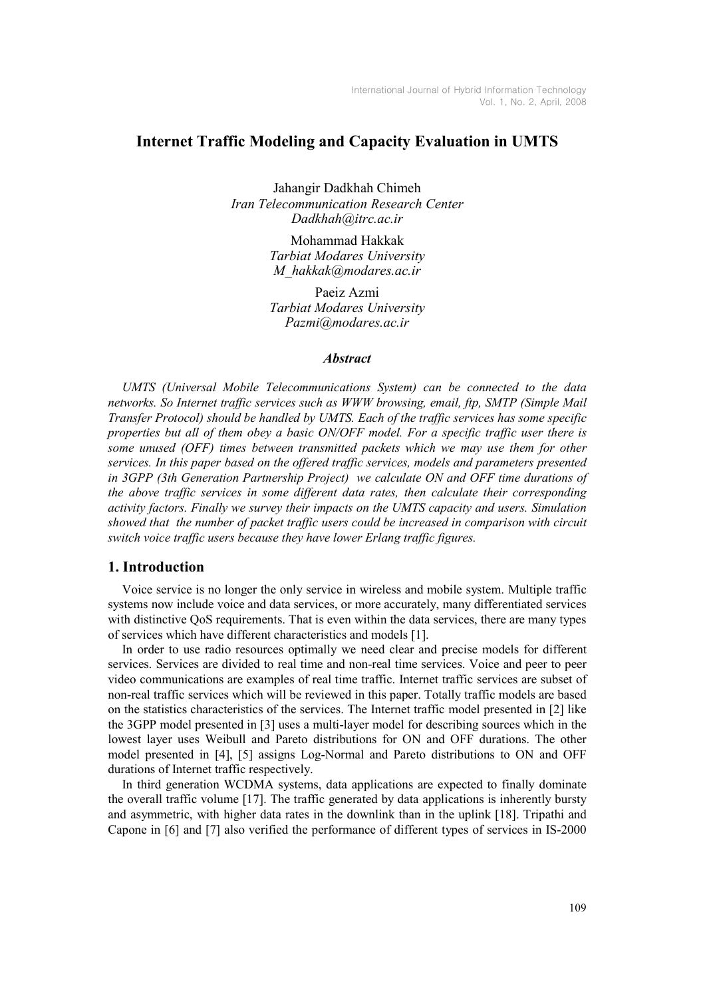# Internet Traffic Modeling and Capacity Evaluation in UMTS

Jahangir Dadkhah Chimeh Iran Telecommunication Research Center Dadkhah@itrc.ac.ir

> Mohammad Hakkak Tarbiat Modares University M\_hakkak@modares.ac.ir

Paeiz Azmi Tarbiat Modares University Pazmi@modares.ac.ir

#### Abstract

UMTS (Universal Mobile Telecommunications System) can be connected to the data networks. So Internet traffic services such as WWW browsing, email, ftp, SMTP (Simple Mail Transfer Protocol) should be handled by UMTS. Each of the traffic services has some specific properties but all of them obey a basic ON/OFF model. For a specific traffic user there is some unused (OFF) times between transmitted packets which we may use them for other services. In this paper based on the offered traffic services, models and parameters presented in 3GPP (3th Generation Partnership Project) we calculate ON and OFF time durations of the above traffic services in some different data rates, then calculate their corresponding activity factors. Finally we survey their impacts on the UMTS capacity and users. Simulation showed that the number of packet traffic users could be increased in comparison with circuit switch voice traffic users because they have lower Erlang traffic figures.

# 1. Introduction

Voice service is no longer the only service in wireless and mobile system. Multiple traffic systems now include voice and data services, or more accurately, many differentiated services with distinctive QoS requirements. That is even within the data services, there are many types of services which have different characteristics and models [1].

In order to use radio resources optimally we need clear and precise models for different services. Services are divided to real time and non-real time services. Voice and peer to peer video communications are examples of real time traffic. Internet traffic services are subset of non-real traffic services which will be reviewed in this paper. Totally traffic models are based on the statistics characteristics of the services. The Internet traffic model presented in [2] like the 3GPP model presented in [3] uses a multi-layer model for describing sources which in the lowest layer uses Weibull and Pareto distributions for ON and OFF durations. The other model presented in [4], [5] assigns Log-Normal and Pareto distributions to ON and OFF durations of Internet traffic respectively.

In third generation WCDMA systems, data applications are expected to finally dominate the overall traffic volume [17]. The traffic generated by data applications is inherently bursty and asymmetric, with higher data rates in the downlink than in the uplink [18]. Tripathi and Capone in [6] and [7] also verified the performance of different types of services in IS-2000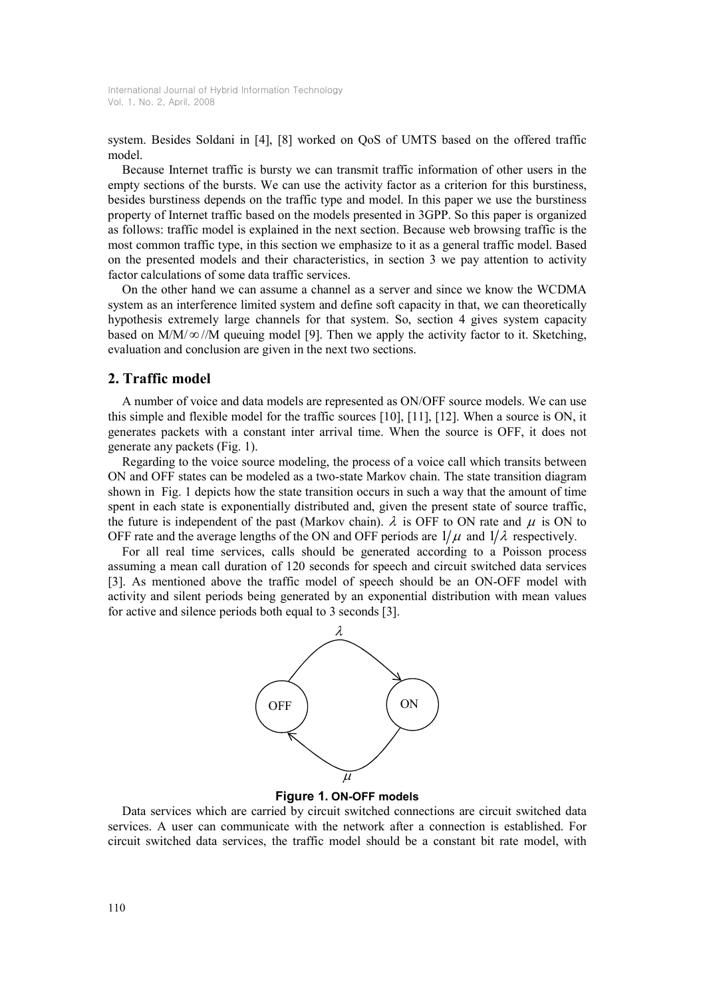system. Besides Soldani in [4], [8] worked on QoS of UMTS based on the offered traffic model.

Because Internet traffic is bursty we can transmit traffic information of other users in the empty sections of the bursts. We can use the activity factor as a criterion for this burstiness, besides burstiness depends on the traffic type and model. In this paper we use the burstiness property of Internet traffic based on the models presented in 3GPP. So this paper is organized as follows: traffic model is explained in the next section. Because web browsing traffic is the most common traffic type, in this section we emphasize to it as a general traffic model. Based on the presented models and their characteristics, in section 3 we pay attention to activity factor calculations of some data traffic services.

On the other hand we can assume a channel as a server and since we know the WCDMA system as an interference limited system and define soft capacity in that, we can theoretically hypothesis extremely large channels for that system. So, section 4 gives system capacity based on  $M/M/\infty/M$  queuing model [9]. Then we apply the activity factor to it. Sketching, evaluation and conclusion are given in the next two sections.

#### 2. Traffic model

A number of voice and data models are represented as ON/OFF source models. We can use this simple and flexible model for the traffic sources [10], [11], [12]. When a source is ON, it generates packets with a constant inter arrival time. When the source is OFF, it does not generate any packets (Fig. 1).

Regarding to the voice source modeling, the process of a voice call which transits between ON and OFF states can be modeled as a two-state Markov chain. The state transition diagram shown in Fig. 1 depicts how the state transition occurs in such a way that the amount of time spent in each state is exponentially distributed and, given the present state of source traffic, the future is independent of the past (Markov chain).  $\lambda$  is OFF to ON rate and  $\mu$  is ON to OFF rate and the average lengths of the ON and OFF periods are  $1/\mu$  and  $1/\lambda$  respectively.

For all real time services, calls should be generated according to a Poisson process assuming a mean call duration of 120 seconds for speech and circuit switched data services [3]. As mentioned above the traffic model of speech should be an ON-OFF model with activity and silent periods being generated by an exponential distribution with mean values for active and silence periods both equal to 3 seconds [3].



#### Figure 1. ON-OFF models

Data services which are carried by circuit switched connections are circuit switched data services. A user can communicate with the network after a connection is established. For circuit switched data services, the traffic model should be a constant bit rate model, with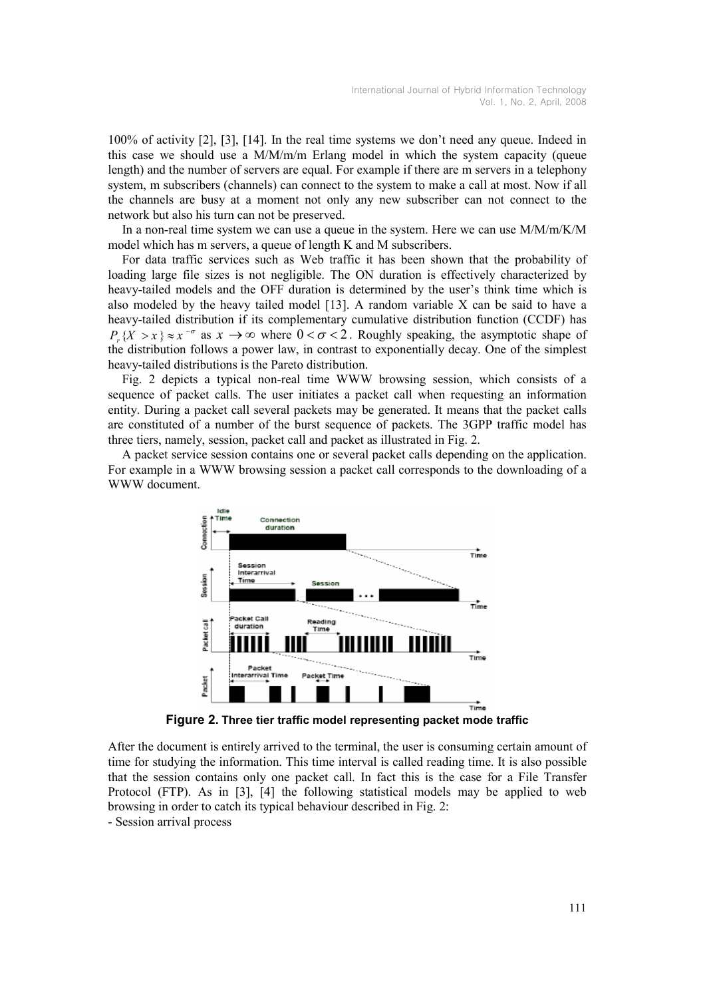100% of activity [2], [3], [14]. In the real time systems we don't need any queue. Indeed in this case we should use a M/M/m/m Erlang model in which the system capacity (queue length) and the number of servers are equal. For example if there are m servers in a telephony system, m subscribers (channels) can connect to the system to make a call at most. Now if all the channels are busy at a moment not only any new subscriber can not connect to the network but also his turn can not be preserved.

In a non-real time system we can use a queue in the system. Here we can use M/M/m/K/M model which has m servers, a queue of length K and M subscribers.

For data traffic services such as Web traffic it has been shown that the probability of loading large file sizes is not negligible. The ON duration is effectively characterized by heavy-tailed models and the OFF duration is determined by the user's think time which is also modeled by the heavy tailed model  $[13]$ . A random variable X can be said to have a heavy-tailed distribution if its complementary cumulative distribution function (CCDF) has  ${P}_{r}$ { $X > x$ }  $\approx x^{-\sigma}$  as  $x \to \infty$  where  $0 < \sigma < 2$ . Roughly speaking, the asymptotic shape of the distribution follows a power law, in contrast to exponentially decay. One of the simplest heavy-tailed distributions is the Pareto distribution.

Fig. 2 depicts a typical non-real time WWW browsing session, which consists of a sequence of packet calls. The user initiates a packet call when requesting an information entity. During a packet call several packets may be generated. It means that the packet calls are constituted of a number of the burst sequence of packets. The 3GPP traffic model has three tiers, namely, session, packet call and packet as illustrated in Fig. 2.

A packet service session contains one or several packet calls depending on the application. For example in a WWW browsing session a packet call corresponds to the downloading of a WWW document.



Figure 2. Three tier traffic model representing packet mode traffic

After the document is entirely arrived to the terminal, the user is consuming certain amount of time for studying the information. This time interval is called reading time. It is also possible that the session contains only one packet call. In fact this is the case for a File Transfer Protocol (FTP). As in [3], [4] the following statistical models may be applied to web browsing in order to catch its typical behaviour described in Fig. 2: - Session arrival process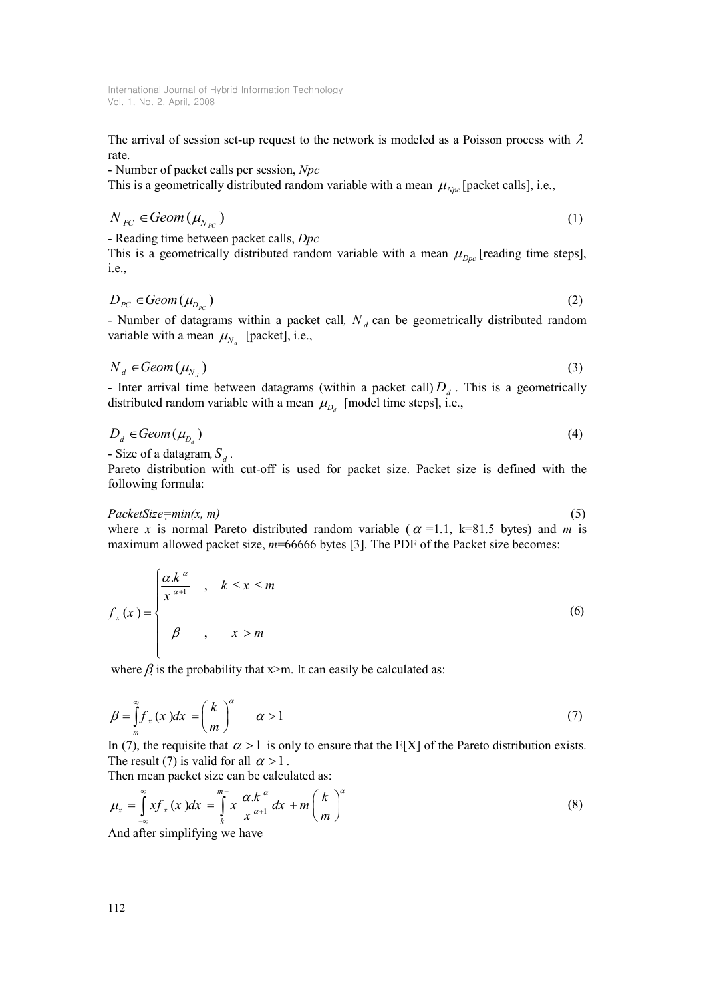The arrival of session set-up request to the network is modeled as a Poisson process with  $\lambda$ rate.

- Number of packet calls per session, Npc

This is a geometrically distributed random variable with a mean  $\mu_{Npc}$  [packet calls], i.e.,

$$
N_{PC} \in Geom(\mu_{N_{PC}}) \tag{1}
$$

- Reading time between packet calls, Dpc

This is a geometrically distributed random variable with a mean  $\mu_{Dnc}$  [reading time steps], i.e.,

$$
D_{PC} \in Geom(\mu_{D_{PC}}) \tag{2}
$$

- Number of datagrams within a packet call,  $N_d$  can be geometrically distributed random variable with a mean  $\mu_{N_d}$  [packet], i.e.,

$$
N_d \in \text{Geom}(\mu_{N_d}) \tag{3}
$$

- Inter arrival time between datagrams (within a packet call)  $D_d$ . This is a geometrically distributed random variable with a mean  $\mu_{D_d}$  [model time steps], i.e.,

$$
D_d \in \text{Geom}(\mu_{D_d}) \tag{4}
$$

- Size of a datagram,  $S_d$ .

Pareto distribution with cut-off is used for packet size. Packet size is defined with the following formula:

#### $PacketSize = min(x, m)$  (5)

where x is normal Pareto distributed random variable ( $\alpha$  =1.1, k=81.5 bytes) and m is maximum allowed packet size,  $m=66666$  bytes [3]. The PDF of the Packet size becomes:

$$
f_x(x) = \begin{cases} \frac{\alpha k^{\alpha}}{x^{\alpha+1}} & , \quad k \leq x \leq m \\ \beta & , \quad x > m \end{cases}
$$
 (6)

where  $\beta$  is the probability that x>m. It can easily be calculated as:

$$
\beta = \int_{m}^{\infty} f_x(x) dx = \left(\frac{k}{m}\right)^{\alpha} \qquad \alpha > 1
$$
\n(7)

In (7), the requisite that  $\alpha > 1$  is only to ensure that the E[X] of the Pareto distribution exists. The result (7) is valid for all  $\alpha > 1$ .

Then mean packet size can be calculated as:

$$
\mu_x = \int_{-\infty}^{\infty} x f_x(x) dx = \int_{k}^{m} x \frac{\alpha k^{\alpha}}{x^{\alpha+1}} dx + m \left(\frac{k}{m}\right)^{\alpha}
$$
\nAnd after simplifying we have

And after simplifying we have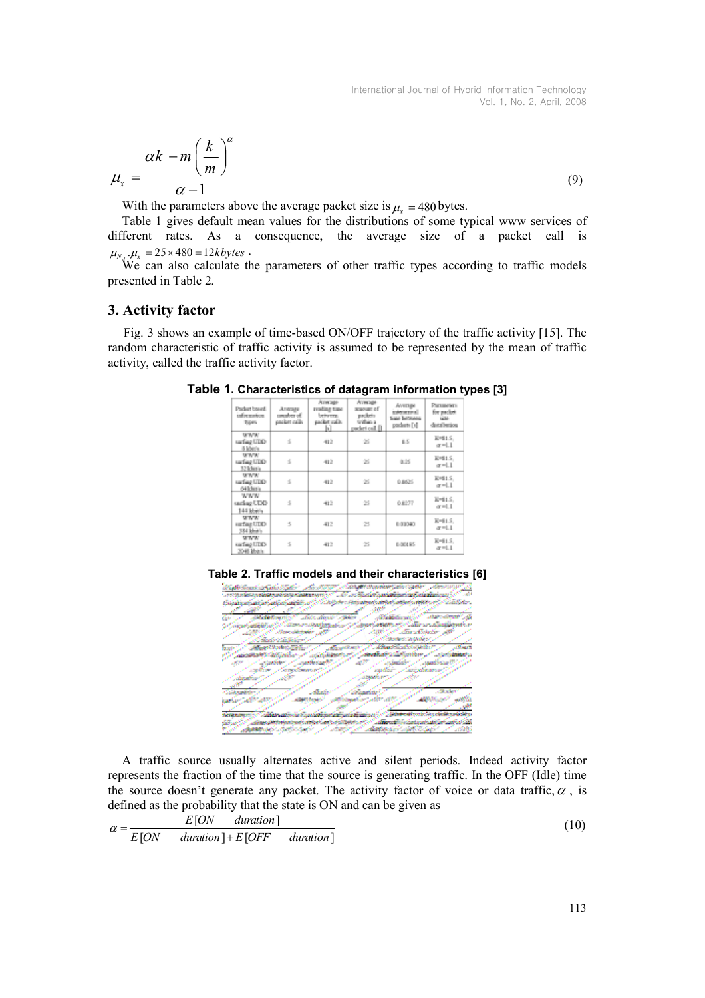$$
\mu_x = \frac{\alpha k - m \left(\frac{k}{m}\right)^{\alpha}}{\alpha - 1} \tag{9}
$$

With the parameters above the average packet size is  $\mu_r = 480$  bytes.

Table 1 gives default mean values for the distributions of some typical www services of different rates. As a consequence, the average size of a packet call is  $\mu_{N_d} \mu_x = 25 \times 480 = 12 kbytes$ .

We can also calculate the parameters of other traffic types according to traffic models presented in Table 2.

### 3. Activity factor

Fig. 3 shows an example of time-based ON/OFF trajectory of the traffic activity [15]. The random characteristic of traffic activity is assumed to be represented by the mean of traffic activity, called the traffic activity factor.

| Packet based<br>information.<br><b>Bows</b>  | Angare<br>anadoes of<br>packet calls | <b>ATWAR</b><br>reading time<br>behaves.<br>packet ralls.<br>ы | Average<br>scuoust of<br>packets.<br>tariffairs a<br>padet call.[1] | <b>AVESIN</b><br><b>International</b><br>Saat Bertraway<br>packets [s] | Partmeters<br>for packet.<br>1434<br>distribution |
|----------------------------------------------|--------------------------------------|----------------------------------------------------------------|---------------------------------------------------------------------|------------------------------------------------------------------------|---------------------------------------------------|
| <b>MUNICIPAL</b><br>sadag UDD<br>5 liberis   | s                                    | 412                                                            | 25                                                                  | 8.5                                                                    | K=11.5.<br>$\alpha$ =L1                           |
| <b>UTMV</b><br>sadag UDO<br>32 licheria      | s                                    | 412                                                            | 25                                                                  | 0.25                                                                   | E=81.5.<br>$\alpha$ =1.1                          |
| <b>MUNICIPAL</b><br>sadag UDD<br>64 khirik   | s                                    | 412                                                            | 25                                                                  | 0.8625                                                                 | E=81.5.<br>$\alpha$ =1.1                          |
| <b>WWW</b><br>sadiag UDD<br>144 Main's       | š                                    | 412                                                            | 25                                                                  | 0.8277                                                                 | K=11.5.<br>$\alpha$ =L1                           |
| <b>MINAY</b><br>surface UDD<br>384 Mon's     | 5                                    | 412                                                            | 25                                                                  | 0.03040                                                                | K=81.5.<br>$\alpha$ =L1                           |
| <b>MUNICIPAL</b><br>sadag UDO<br>2048 Molt's | s                                    | 412                                                            | 25                                                                  | 0.004.95                                                               | K=\$1.5.<br>$\alpha$ =1.1                         |

Table 1. Characteristics of datagram information types [3]



A traffic source usually alternates active and silent periods. Indeed activity factor represents the fraction of the time that the source is generating traffic. In the OFF (Idle) time the source doesn't generate any packet. The activity factor of voice or data traffic,  $\alpha$ , is defined as the probability that the state is ON and can be given as

$$
\alpha = \frac{E[ON \quad duration]}{E[ON \quad duration] + E[OFF \quad duration]}
$$
\n(10)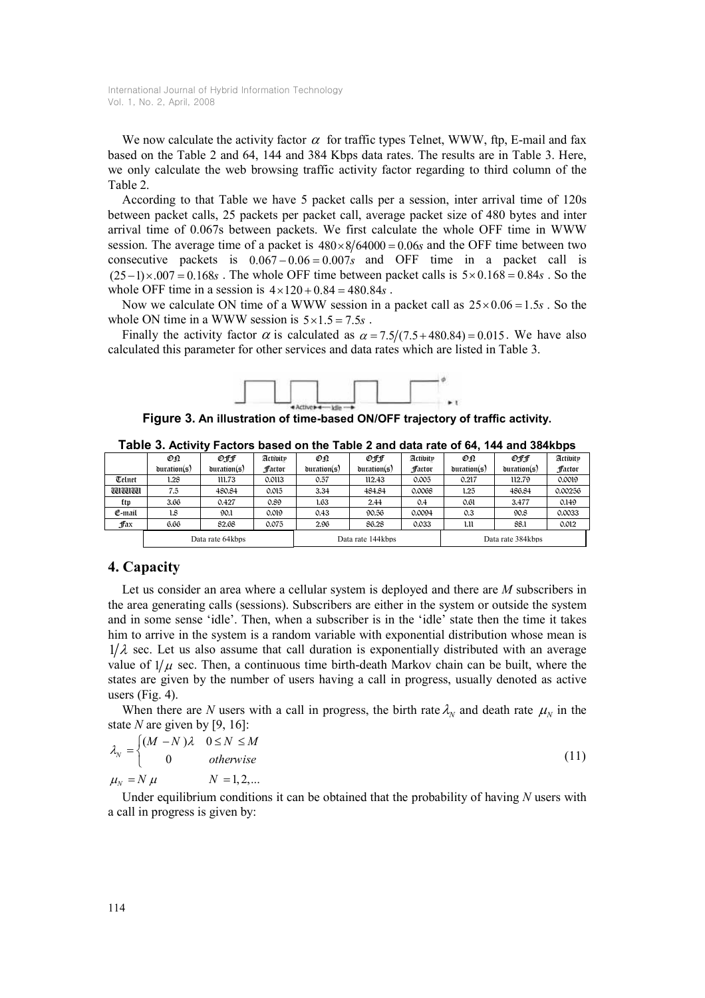We now calculate the activity factor  $\alpha$  for traffic types Telnet, WWW, ftp, E-mail and fax based on the Table 2 and 64, 144 and 384 Kbps data rates. The results are in Table 3. Here, we only calculate the web browsing traffic activity factor regarding to third column of the Table 2.

According to that Table we have 5 packet calls per a session, inter arrival time of 120s between packet calls, 25 packets per packet call, average packet size of 480 bytes and inter arrival time of 0.067s between packets. We first calculate the whole OFF time in WWW session. The average time of a packet is  $480 \times 8/64000 = 0.06s$  and the OFF time between two consecutive packets is  $0.067 - 0.06 = 0.007s$  and OFF time in a packet call is  $(25-1)\times 0.07 = 0.168$   $s$ . The whole OFF time between packet calls is  $5\times 0.168 = 0.84$   $s$ . So the whole OFF time in a session is  $4 \times 120 + 0.84 = 480.84s$ .

Now we calculate ON time of a WWW session in a packet call as  $25 \times 0.06 = 1.5s$ . So the whole ON time in a WWW session is  $5 \times 1.5 = 7.5s$ .

Finally the activity factor  $\alpha$  is calculated as  $\alpha = 7.5/(7.5 + 480.84) = 0.015$ . We have also calculated this parameter for other services and data rates which are listed in Table 3.



Figure 3. An illustration of time-based ON/OFF trajectory of traffic activity.

| Table 3. Activity Factors based on the Table 2 and data rate of 64, 144 and 384kbps |                  |             |          |                   |             |          |                   |             |          |  |  |  |  |
|-------------------------------------------------------------------------------------|------------------|-------------|----------|-------------------|-------------|----------|-------------------|-------------|----------|--|--|--|--|
|                                                                                     | ОQ               | OFF         | Actibity | ОΩ                | OFF         | Actibity | OQ.               | Offf        | Actibity |  |  |  |  |
|                                                                                     | duration(s)      | buration(s) | ffactor  | buration(s)       | buration(s) | Factor   | duration(s)       | duration(s) | Factor   |  |  |  |  |
| Telnet                                                                              | 1.28             | 111.73      | 0.0113   | 0.57              | 112.43      | 0.005    | 0.217             | 112.79      | 0.0019   |  |  |  |  |
| <b>THITHITH</b>                                                                     | 7.5              | 480.84      | 0.015    | 3.34              | 484.84      | 0.0068   | 1.25              | 486.84      | 0.00256  |  |  |  |  |
| ftp                                                                                 | 3.66             | 0.427       | 0.89     | 1.63              | 2.44        | 0.4      | 0.61              | 3.477       | 0.149    |  |  |  |  |
| E-mail                                                                              | 1.8              | 90.1        | 0.019    | 0.43              | 90.56       | 0.0094   | 0.3               | 90.8        | 0.0033   |  |  |  |  |
| ffax                                                                                | 6.66             | 82.68       | 0.075    | 2.96              | 86.28       | 0.033    | 1.11              | 88.1        | 0.012    |  |  |  |  |
|                                                                                     | Data rate 64kbps |             |          | Data rate 144kbps |             |          | Data rate 384kbps |             |          |  |  |  |  |

### 4. Capacity

Let us consider an area where a cellular system is deployed and there are M subscribers in the area generating calls (sessions). Subscribers are either in the system or outside the system and in some sense 'idle'. Then, when a subscriber is in the 'idle' state then the time it takes him to arrive in the system is a random variable with exponential distribution whose mean is  $1/\lambda$  sec. Let us also assume that call duration is exponentially distributed with an average value of  $1/\mu$  sec. Then, a continuous time birth-death Markov chain can be built, where the states are given by the number of users having a call in progress, usually denoted as active users (Fig. 4).

When there are N users with a call in progress, the birth rate  $\lambda_N$  and death rate  $\mu_N$  in the state N are given by [9, 16]:

$$
\lambda_N = \begin{cases}\n(M - N)\lambda & 0 \le N \le M \\
0 & \text{otherwise}\n\end{cases}
$$
\n(11)  
\n
$$
\mu_N = N \mu \qquad N = 1, 2, \dots
$$

Under equilibrium conditions it can be obtained that the probability of having  $N$  users with a call in progress is given by: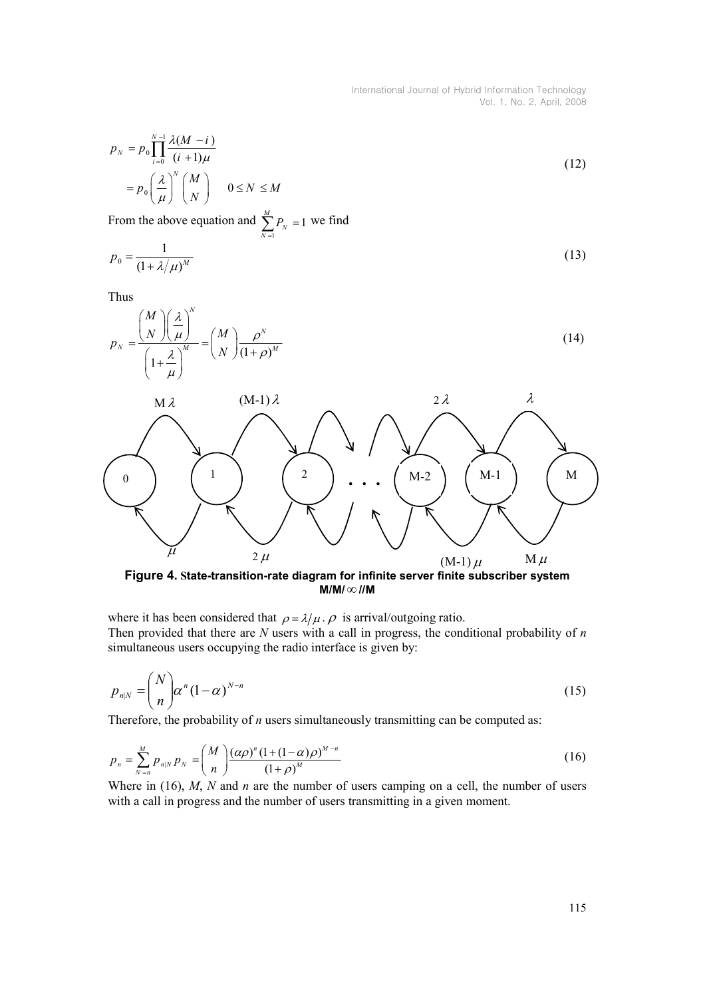$$
p_N = p_0 \prod_{i=0}^{N-1} \frac{\lambda(M-i)}{(i+1)\mu}
$$
  
= 
$$
p_0 \left(\frac{\lambda}{\mu}\right)^N \binom{M}{N} \qquad 0 \le N \le M
$$
 (12)

From the above equation and 1  $\sum_{N}^{M} P_{N} = 1$  $\sum_{N=1}^{\prime} N$ P  $\sum_{N=1}^{8} P_N = 1$  we find

$$
p_0 = \frac{1}{\left(1 + \lambda/\mu\right)^M} \tag{13}
$$

Thus



Figure 4. State-transition-rate diagram for infinite server finite subscriber system M/M/∞ //M

where it has been considered that  $\rho = \lambda / \mu$ .  $\rho$  is arrival/outgoing ratio. Then provided that there are  $N$  users with a call in progress, the conditional probability of  $n$ simultaneous users occupying the radio interface is given by:

$$
p_{n|N} = \binom{N}{n} \alpha^n (1-\alpha)^{N-n} \tag{15}
$$

Therefore, the probability of  $n$  users simultaneously transmitting can be computed as:

$$
p_n = \sum_{N=n}^{M} p_{n|N} p_N = {M \choose n} \frac{(\alpha \rho)^n (1 + (1 - \alpha) \rho)^{M - n}}{(1 + \rho)^M}
$$
(16)

Where in (16),  $M$ ,  $N$  and  $n$  are the number of users camping on a cell, the number of users with a call in progress and the number of users transmitting in a given moment.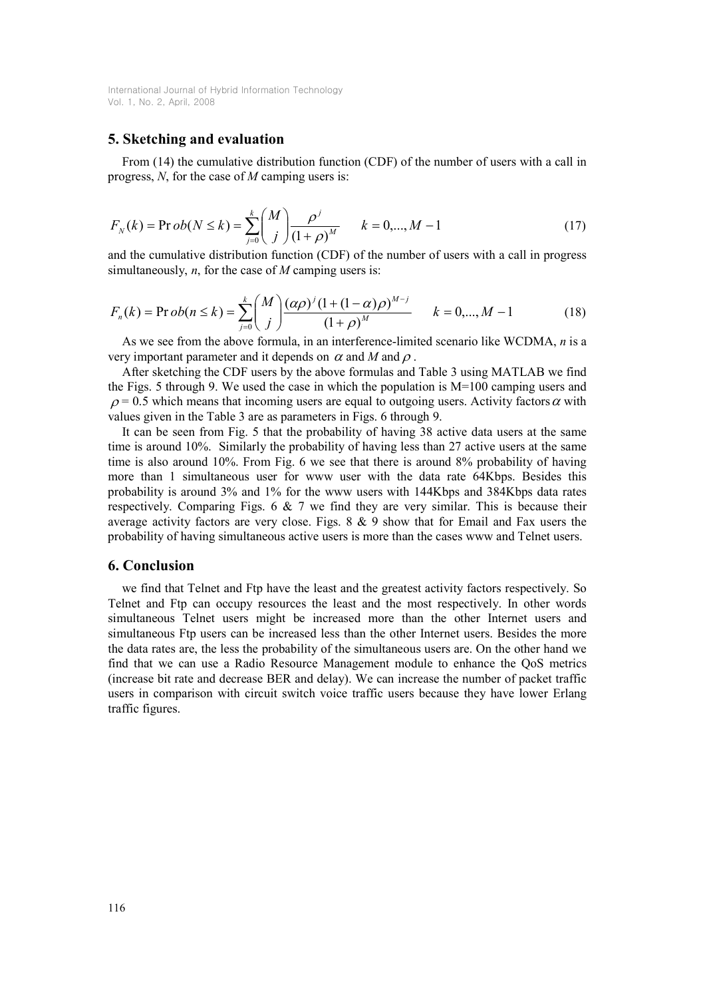## 5. Sketching and evaluation

From (14) the cumulative distribution function (CDF) of the number of users with a call in progress, N, for the case of  $M$  camping users is:

$$
F_N(k) = \Pr ob(N \le k) = \sum_{j=0}^{k} {M \choose j} \frac{\rho^j}{(1+\rho)^M} \qquad k = 0, ..., M-1
$$
 (17)

and the cumulative distribution function (CDF) of the number of users with a call in progress simultaneously,  $n$ , for the case of  $M$  camping users is:

$$
F_n(k) = \Pr ob(n \le k) = \sum_{j=0}^k {M \choose j} \frac{(\alpha \rho)^j (1 + (1 - \alpha) \rho)^{M-j}}{(1 + \rho)^M} \qquad k = 0, ..., M - 1
$$
 (18)

As we see from the above formula, in an interference-limited scenario like WCDMA, n is a very important parameter and it depends on  $\alpha$  and  $M$  and  $\rho$ .

After sketching the CDF users by the above formulas and Table 3 using MATLAB we find the Figs. 5 through 9. We used the case in which the population is  $M=100$  camping users and  $\rho$  = 0.5 which means that incoming users are equal to outgoing users. Activity factors  $\alpha$  with values given in the Table 3 are as parameters in Figs. 6 through 9.

It can be seen from Fig. 5 that the probability of having 38 active data users at the same time is around 10%. Similarly the probability of having less than 27 active users at the same time is also around 10%. From Fig. 6 we see that there is around 8% probability of having more than 1 simultaneous user for www user with the data rate 64Kbps. Besides this probability is around 3% and 1% for the www users with 144Kbps and 384Kbps data rates respectively. Comparing Figs.  $6 \& 7$  we find they are very similar. This is because their average activity factors are very close. Figs.  $8 \& 9$  show that for Email and Fax users the probability of having simultaneous active users is more than the cases www and Telnet users.

### 6. Conclusion

we find that Telnet and Ftp have the least and the greatest activity factors respectively. So Telnet and Ftp can occupy resources the least and the most respectively. In other words simultaneous Telnet users might be increased more than the other Internet users and simultaneous Ftp users can be increased less than the other Internet users. Besides the more the data rates are, the less the probability of the simultaneous users are. On the other hand we find that we can use a Radio Resource Management module to enhance the QoS metrics (increase bit rate and decrease BER and delay). We can increase the number of packet traffic users in comparison with circuit switch voice traffic users because they have lower Erlang traffic figures.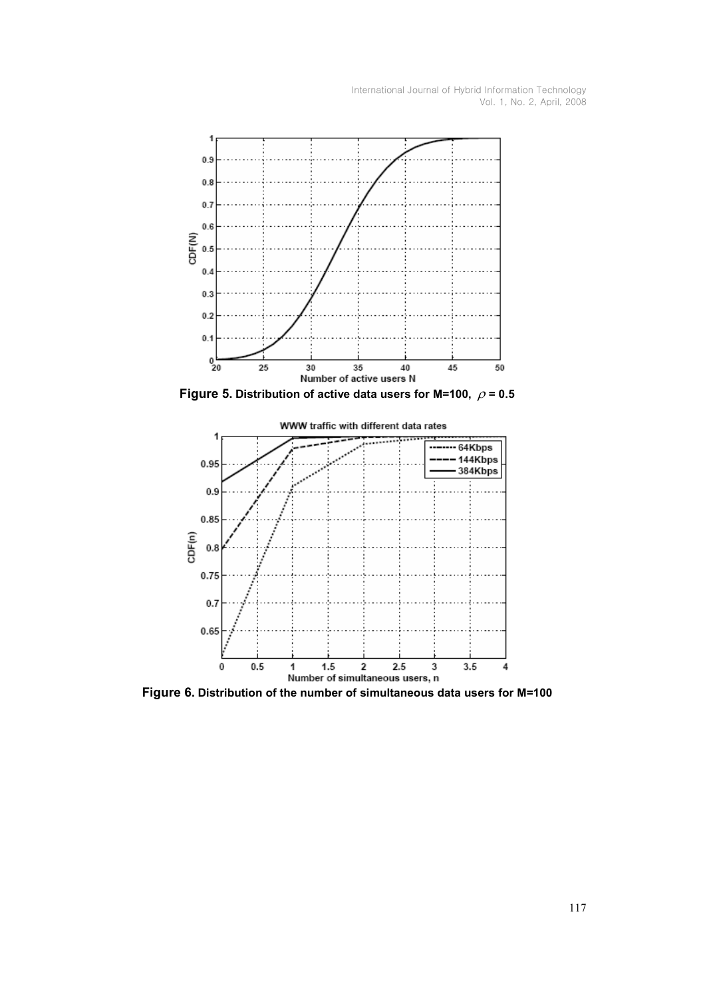

Figure 5. Distribution of active data users for M=100,  $\rho$  = 0.5



Figure 6. Distribution of the number of simultaneous data users for M=100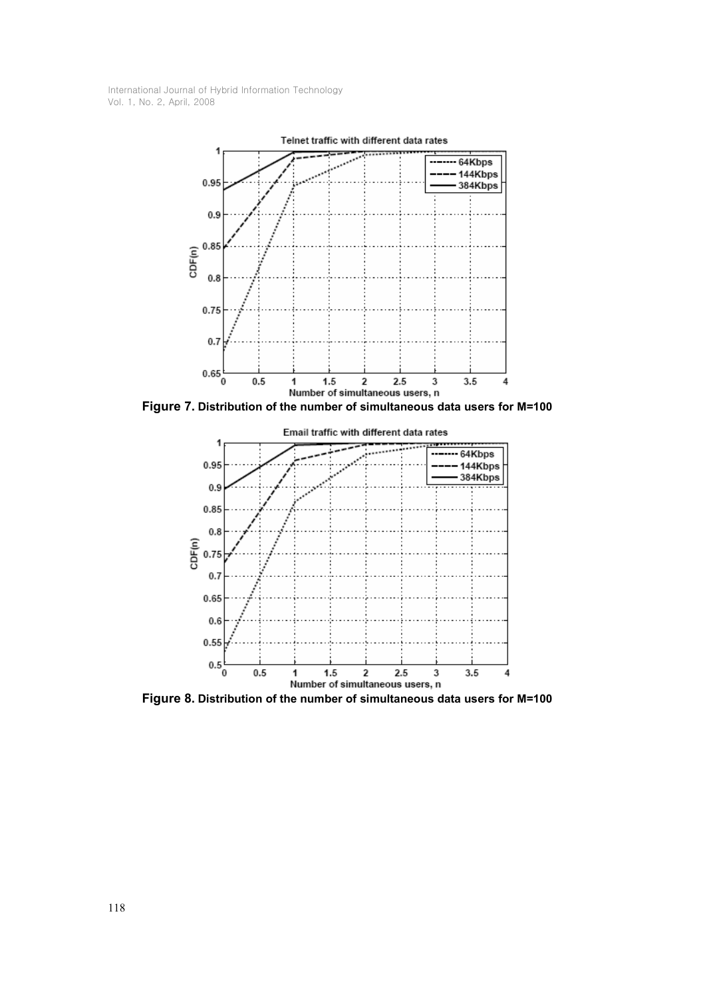

Figure 7. Distribution of the number of simultaneous data users for M=100



Figure 8. Distribution of the number of simultaneous data users for M=100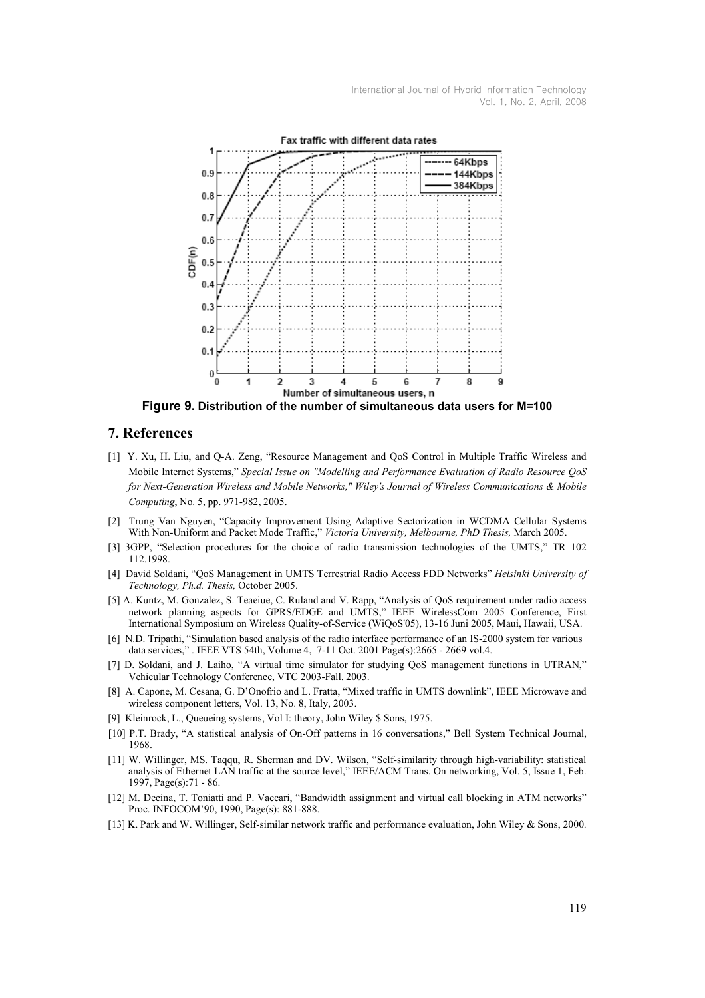

Figure 9. Distribution of the number of simultaneous data users for M=100

#### 7. References

- [1] Y. Xu, H. Liu, and Q-A. Zeng, "Resource Management and QoS Control in Multiple Traffic Wireless and Mobile Internet Systems," Special Issue on "Modelling and Performance Evaluation of Radio Resource QoS for Next-Generation Wireless and Mobile Networks," Wiley's Journal of Wireless Communications & Mobile Computing, No. 5, pp. 971-982, 2005.
- [2] Trung Van Nguyen, "Capacity Improvement Using Adaptive Sectorization in WCDMA Cellular Systems With Non-Uniform and Packet Mode Traffic," Victoria University, Melbourne, PhD Thesis, March 2005.
- [3] 3GPP, "Selection procedures for the choice of radio transmission technologies of the UMTS," TR 102 112.1998.
- [4] David Soldani, "QoS Management in UMTS Terrestrial Radio Access FDD Networks" Helsinki University of Technology, Ph.d. Thesis, October 2005.
- [5] A. Kuntz, M. Gonzalez, S. Teaeiue, C. Ruland and V. Rapp, "Analysis of QoS requirement under radio access network planning aspects for GPRS/EDGE and UMTS," IEEE WirelessCom 2005 Conference, First International Symposium on Wireless Quality-of-Service (WiQoS'05), 13-16 Juni 2005, Maui, Hawaii, USA.
- [6] N.D. Tripathi, "Simulation based analysis of the radio interface performance of an IS-2000 system for various data services," . IEEE VTS 54th, Volume 4, 7-11 Oct. 2001 Page(s):2665 - 2669 vol.4.
- [7] D. Soldani, and J. Laiho, "A virtual time simulator for studying QoS management functions in UTRAN," Vehicular Technology Conference, VTC 2003-Fall. 2003.
- [8] A. Capone, M. Cesana, G. D'Onofrio and L. Fratta, "Mixed traffic in UMTS downlink", IEEE Microwave and wireless component letters, Vol. 13, No. 8, Italy, 2003.
- [9] Kleinrock, L., Queueing systems, Vol I: theory, John Wiley \$ Sons, 1975.
- [10] P.T. Brady, "A statistical analysis of On-Off patterns in 16 conversations," Bell System Technical Journal, 1968.
- [11] W. Willinger, MS. Taqqu, R. Sherman and DV. Wilson, "Self-similarity through high-variability: statistical analysis of Ethernet LAN traffic at the source level," IEEE/ACM Trans. On networking, Vol. 5, Issue 1, Feb. 1997, Page(s):71 - 86.
- [12] M. Decina, T. Toniatti and P. Vaccari, "Bandwidth assignment and virtual call blocking in ATM networks" Proc. INFOCOM'90, 1990, Page(s): 881-888.
- [13] K. Park and W. Willinger, Self-similar network traffic and performance evaluation, John Wiley & Sons, 2000.